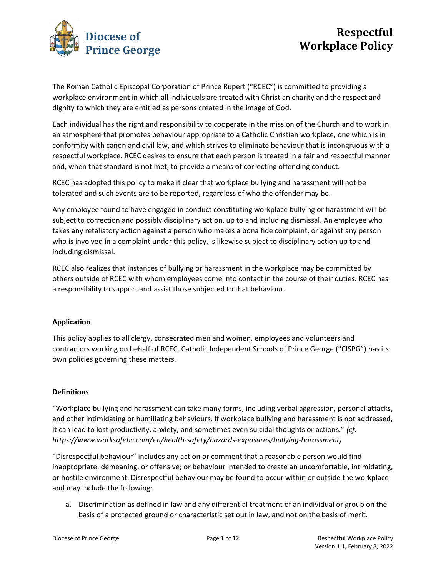

The Roman Catholic Episcopal Corporation of Prince Rupert ("RCEC") is committed to providing a workplace environment in which all individuals are treated with Christian charity and the respect and dignity to which they are entitled as persons created in the image of God.

Each individual has the right and responsibility to cooperate in the mission of the Church and to work in an atmosphere that promotes behaviour appropriate to a Catholic Christian workplace, one which is in conformity with canon and civil law, and which strives to eliminate behaviour that is incongruous with a respectful workplace. RCEC desires to ensure that each person is treated in a fair and respectful manner and, when that standard is not met, to provide a means of correcting offending conduct.

RCEC has adopted this policy to make it clear that workplace bullying and harassment will not be tolerated and such events are to be reported, regardless of who the offender may be.

Any employee found to have engaged in conduct constituting workplace bullying or harassment will be subject to correction and possibly disciplinary action, up to and including dismissal. An employee who takes any retaliatory action against a person who makes a bona fide complaint, or against any person who is involved in a complaint under this policy, is likewise subject to disciplinary action up to and including dismissal.

RCEC also realizes that instances of bullying or harassment in the workplace may be committed by others outside of RCEC with whom employees come into contact in the course of their duties. RCEC has a responsibility to support and assist those subjected to that behaviour.

# Application

This policy applies to all clergy, consecrated men and women, employees and volunteers and contractors working on behalf of RCEC. Catholic Independent Schools of Prince George ("CISPG") has its own policies governing these matters.

## **Definitions**

"Workplace bullying and harassment can take many forms, including verbal aggression, personal attacks, and other intimidating or humiliating behaviours. If workplace bullying and harassment is not addressed, it can lead to lost productivity, anxiety, and sometimes even suicidal thoughts or actions." (cf. https://www.worksafebc.com/en/health-safety/hazards-exposures/bullying-harassment)

"Disrespectful behaviour" includes any action or comment that a reasonable person would find inappropriate, demeaning, or offensive; or behaviour intended to create an uncomfortable, intimidating, or hostile environment. Disrespectful behaviour may be found to occur within or outside the workplace and may include the following:

a. Discrimination as defined in law and any differential treatment of an individual or group on the basis of a protected ground or characteristic set out in law, and not on the basis of merit.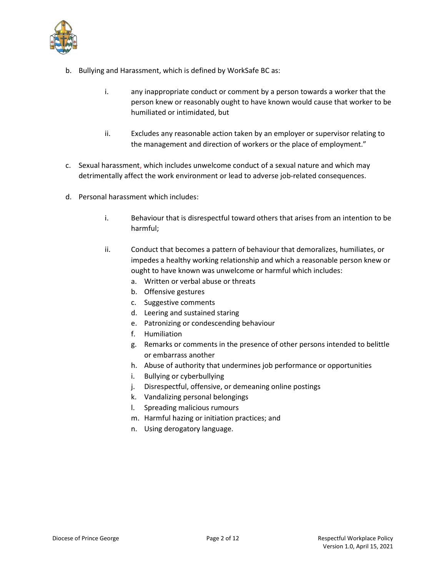

- b. Bullying and Harassment, which is defined by WorkSafe BC as:
	- i. any inappropriate conduct or comment by a person towards a worker that the person knew or reasonably ought to have known would cause that worker to be humiliated or intimidated, but
	- ii. Excludes any reasonable action taken by an employer or supervisor relating to the management and direction of workers or the place of employment."
- c. Sexual harassment, which includes unwelcome conduct of a sexual nature and which may detrimentally affect the work environment or lead to adverse job-related consequences.
- d. Personal harassment which includes:
	- i. Behaviour that is disrespectful toward others that arises from an intention to be harmful;
	- ii. Conduct that becomes a pattern of behaviour that demoralizes, humiliates, or impedes a healthy working relationship and which a reasonable person knew or ought to have known was unwelcome or harmful which includes:
		- a. Written or verbal abuse or threats
		- b. Offensive gestures
		- c. Suggestive comments
		- d. Leering and sustained staring
		- e. Patronizing or condescending behaviour
		- f. Humiliation
		- g. Remarks or comments in the presence of other persons intended to belittle or embarrass another
		- h. Abuse of authority that undermines job performance or opportunities
		- i. Bullying or cyberbullying
		- j. Disrespectful, offensive, or demeaning online postings
		- k. Vandalizing personal belongings
		- l. Spreading malicious rumours
		- m. Harmful hazing or initiation practices; and
		- n. Using derogatory language.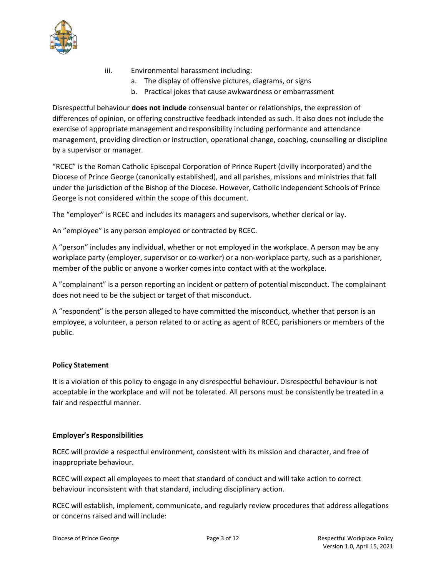

- iii. Environmental harassment including:
	- a. The display of offensive pictures, diagrams, or signs
	- b. Practical jokes that cause awkwardness or embarrassment

Disrespectful behaviour does not include consensual banter or relationships, the expression of differences of opinion, or offering constructive feedback intended as such. It also does not include the exercise of appropriate management and responsibility including performance and attendance management, providing direction or instruction, operational change, coaching, counselling or discipline by a supervisor or manager.

"RCEC" is the Roman Catholic Episcopal Corporation of Prince Rupert (civilly incorporated) and the Diocese of Prince George (canonically established), and all parishes, missions and ministries that fall under the jurisdiction of the Bishop of the Diocese. However, Catholic Independent Schools of Prince George is not considered within the scope of this document.

The "employer" is RCEC and includes its managers and supervisors, whether clerical or lay.

An "employee" is any person employed or contracted by RCEC.

A "person" includes any individual, whether or not employed in the workplace. A person may be any workplace party (employer, supervisor or co-worker) or a non-workplace party, such as a parishioner, member of the public or anyone a worker comes into contact with at the workplace.

A "complainant" is a person reporting an incident or pattern of potential misconduct. The complainant does not need to be the subject or target of that misconduct.

A "respondent" is the person alleged to have committed the misconduct, whether that person is an employee, a volunteer, a person related to or acting as agent of RCEC, parishioners or members of the public.

## Policy Statement

It is a violation of this policy to engage in any disrespectful behaviour. Disrespectful behaviour is not acceptable in the workplace and will not be tolerated. All persons must be consistently be treated in a fair and respectful manner.

#### Employer's Responsibilities

RCEC will provide a respectful environment, consistent with its mission and character, and free of inappropriate behaviour.

RCEC will expect all employees to meet that standard of conduct and will take action to correct behaviour inconsistent with that standard, including disciplinary action.

RCEC will establish, implement, communicate, and regularly review procedures that address allegations or concerns raised and will include: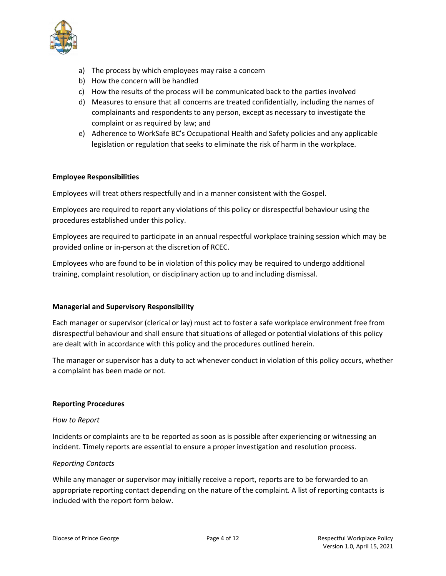

- a) The process by which employees may raise a concern
- b) How the concern will be handled
- c) How the results of the process will be communicated back to the parties involved
- d) Measures to ensure that all concerns are treated confidentially, including the names of complainants and respondents to any person, except as necessary to investigate the complaint or as required by law; and
- e) Adherence to WorkSafe BC's Occupational Health and Safety policies and any applicable legislation or regulation that seeks to eliminate the risk of harm in the workplace.

## Employee Responsibilities

Employees will treat others respectfully and in a manner consistent with the Gospel.

Employees are required to report any violations of this policy or disrespectful behaviour using the procedures established under this policy.

Employees are required to participate in an annual respectful workplace training session which may be provided online or in-person at the discretion of RCEC.

Employees who are found to be in violation of this policy may be required to undergo additional training, complaint resolution, or disciplinary action up to and including dismissal.

#### Managerial and Supervisory Responsibility

Each manager or supervisor (clerical or lay) must act to foster a safe workplace environment free from disrespectful behaviour and shall ensure that situations of alleged or potential violations of this policy are dealt with in accordance with this policy and the procedures outlined herein.

The manager or supervisor has a duty to act whenever conduct in violation of this policy occurs, whether a complaint has been made or not.

#### Reporting Procedures

#### How to Report

Incidents or complaints are to be reported as soon as is possible after experiencing or witnessing an incident. Timely reports are essential to ensure a proper investigation and resolution process.

## Reporting Contacts

While any manager or supervisor may initially receive a report, reports are to be forwarded to an appropriate reporting contact depending on the nature of the complaint. A list of reporting contacts is included with the report form below.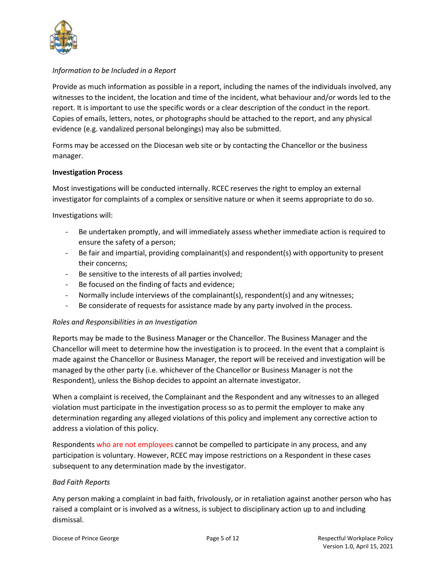

## Information to be Included in a Report

Provide as much information as possible in a report, including the names of the individuals involved, any witnesses to the incident, the location and time of the incident, what behaviour and/or words led to the report. It is important to use the specific words or a clear description of the conduct in the report. Copies of emails, letters, notes, or photographs should be attached to the report, and any physical evidence (e.g. vandalized personal belongings) may also be submitted.

Forms may be accessed on the Diocesan web site or by contacting the Chancellor or the business manager.

## Investigation Process

Most investigations will be conducted internally. RCEC reserves the right to employ an external investigator for complaints of a complex or sensitive nature or when it seems appropriate to do so.

Investigations will:

- Be undertaken promptly, and will immediately assess whether immediate action is required to ensure the safety of a person;
- Be fair and impartial, providing complainant(s) and respondent(s) with opportunity to present their concerns;
- Be sensitive to the interests of all parties involved;
- Be focused on the finding of facts and evidence;
- Normally include interviews of the complainant(s), respondent(s) and any witnesses;
- Be considerate of requests for assistance made by any party involved in the process.

## Roles and Responsibilities in an Investigation

Reports may be made to the Business Manager or the Chancellor. The Business Manager and the Chancellor will meet to determine how the investigation is to proceed. In the event that a complaint is made against the Chancellor or Business Manager, the report will be received and investigation will be managed by the other party (i.e. whichever of the Chancellor or Business Manager is not the Respondent), unless the Bishop decides to appoint an alternate investigator.

When a complaint is received, the Complainant and the Respondent and any witnesses to an alleged violation must participate in the investigation process so as to permit the employer to make any determination regarding any alleged violations of this policy and implement any corrective action to address a violation of this policy.

Respondents who are not employees cannot be compelled to participate in any process, and any participation is voluntary. However, RCEC may impose restrictions on a Respondent in these cases subsequent to any determination made by the investigator.

#### Bad Faith Reports

Any person making a complaint in bad faith, frivolously, or in retaliation against another person who has raised a complaint or is involved as a witness, is subject to disciplinary action up to and including dismissal.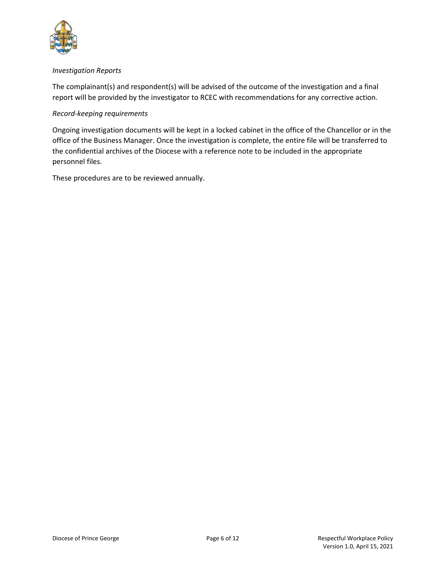

## Investigation Reports

The complainant(s) and respondent(s) will be advised of the outcome of the investigation and a final report will be provided by the investigator to RCEC with recommendations for any corrective action.

## Record-keeping requirements

Ongoing investigation documents will be kept in a locked cabinet in the office of the Chancellor or in the office of the Business Manager. Once the investigation is complete, the entire file will be transferred to the confidential archives of the Diocese with a reference note to be included in the appropriate personnel files.

These procedures are to be reviewed annually.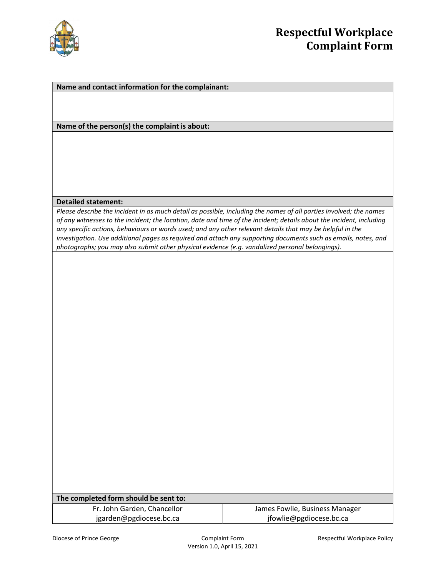

#### Name and contact information for the complainant:

Name of the person(s) the complaint is about:

#### Detailed statement:

Please describe the incident in as much detail as possible, including the names of all parties involved; the names of any witnesses to the incident; the location, date and time of the incident; details about the incident, including any specific actions, behaviours or words used; and any other relevant details that may be helpful in the investigation. Use additional pages as required and attach any supporting documents such as emails, notes, and photographs; you may also submit other physical evidence (e.g. vandalized personal belongings).

| The completed form should be sent to: |  |  |  |  |  |
|---------------------------------------|--|--|--|--|--|
|---------------------------------------|--|--|--|--|--|

Fr. John Garden, Chancellor jgarden@pgdiocese.bc.ca

James Fowlie, Business Manager jfowlie@pgdiocese.bc.ca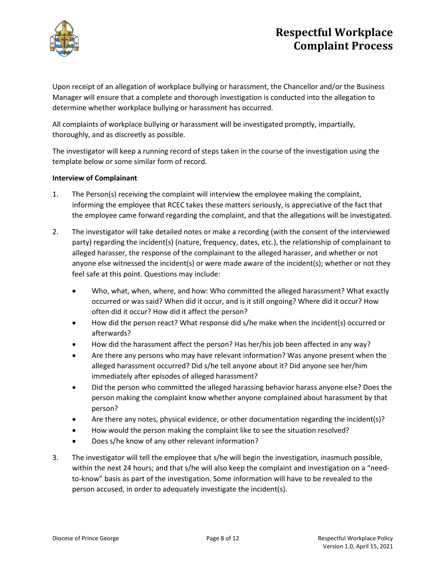

# Respectful Workplace Complaint Process

Upon receipt of an allegation of workplace bullying or harassment, the Chancellor and/or the Business Manager will ensure that a complete and thorough investigation is conducted into the allegation to determine whether workplace bullying or harassment has occurred.

All complaints of workplace bullying or harassment will be investigated promptly, impartially, thoroughly, and as discreetly as possible.

The investigator will keep a running record of steps taken in the course of the investigation using the template below or some similar form of record.

## Interview of Complainant

- 1. The Person(s) receiving the complaint will interview the employee making the complaint, informing the employee that RCEC takes these matters seriously, is appreciative of the fact that the employee came forward regarding the complaint, and that the allegations will be investigated.
- 2. The investigator will take detailed notes or make a recording (with the consent of the interviewed party) regarding the incident(s) (nature, frequency, dates, etc.), the relationship of complainant to alleged harasser, the response of the complainant to the alleged harasser, and whether or not anyone else witnessed the incident(s) or were made aware of the incident(s); whether or not they feel safe at this point. Questions may include:
	- Who, what, when, where, and how: Who committed the alleged harassment? What exactly occurred or was said? When did it occur, and is it still ongoing? Where did it occur? How often did it occur? How did it affect the person?
	- How did the person react? What response did s/he make when the incident(s) occurred or afterwards?
	- How did the harassment affect the person? Has her/his job been affected in any way?
	- Are there any persons who may have relevant information? Was anyone present when the alleged harassment occurred? Did s/he tell anyone about it? Did anyone see her/him immediately after episodes of alleged harassment?
	- Did the person who committed the alleged harassing behavior harass anyone else? Does the person making the complaint know whether anyone complained about harassment by that person?
	- Are there any notes, physical evidence, or other documentation regarding the incident(s)?
	- How would the person making the complaint like to see the situation resolved?
	- Does s/he know of any other relevant information?
- 3. The investigator will tell the employee that s/he will begin the investigation, inasmuch possible, within the next 24 hours; and that s/he will also keep the complaint and investigation on a "needto-know" basis as part of the investigation. Some information will have to be revealed to the person accused, in order to adequately investigate the incident(s).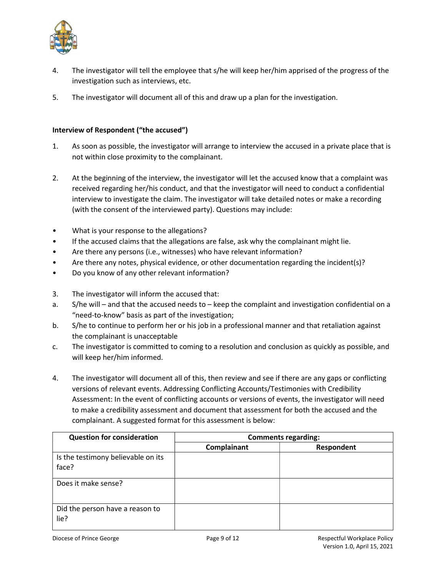

- 4. The investigator will tell the employee that s/he will keep her/him apprised of the progress of the investigation such as interviews, etc.
- 5. The investigator will document all of this and draw up a plan for the investigation.

## Interview of Respondent ("the accused")

- 1. As soon as possible, the investigator will arrange to interview the accused in a private place that is not within close proximity to the complainant.
- 2. At the beginning of the interview, the investigator will let the accused know that a complaint was received regarding her/his conduct, and that the investigator will need to conduct a confidential interview to investigate the claim. The investigator will take detailed notes or make a recording (with the consent of the interviewed party). Questions may include:
- What is your response to the allegations?
- If the accused claims that the allegations are false, ask why the complainant might lie.
- Are there any persons (i.e., witnesses) who have relevant information?
- Are there any notes, physical evidence, or other documentation regarding the incident(s)?
- Do you know of any other relevant information?
- 3. The investigator will inform the accused that:
- a. S/he will and that the accused needs to keep the complaint and investigation confidential on a "need-to-know" basis as part of the investigation;
- b. S/he to continue to perform her or his job in a professional manner and that retaliation against the complainant is unacceptable
- c. The investigator is committed to coming to a resolution and conclusion as quickly as possible, and will keep her/him informed.
- 4. The investigator will document all of this, then review and see if there are any gaps or conflicting versions of relevant events. Addressing Conflicting Accounts/Testimonies with Credibility Assessment: In the event of conflicting accounts or versions of events, the investigator will need to make a credibility assessment and document that assessment for both the accused and the complainant. A suggested format for this assessment is below:

| <b>Question for consideration</b>       | <b>Comments regarding:</b> |            |  |
|-----------------------------------------|----------------------------|------------|--|
|                                         | Complainant                | Respondent |  |
| Is the testimony believable on its      |                            |            |  |
| face?                                   |                            |            |  |
| Does it make sense?                     |                            |            |  |
| Did the person have a reason to<br>lie? |                            |            |  |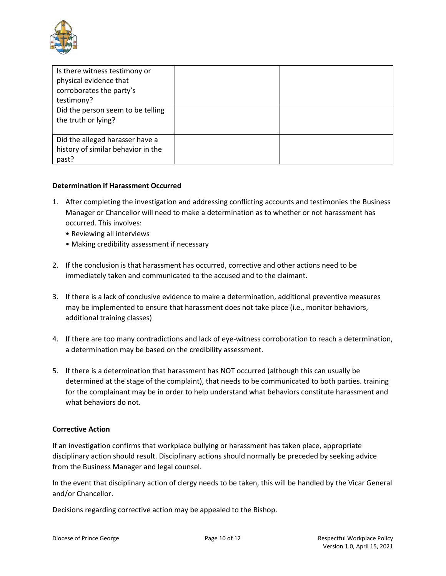

| Is there witness testimony or      |  |
|------------------------------------|--|
| physical evidence that             |  |
| corroborates the party's           |  |
| testimony?                         |  |
| Did the person seem to be telling  |  |
| the truth or lying?                |  |
|                                    |  |
| Did the alleged harasser have a    |  |
| history of similar behavior in the |  |
| past?                              |  |

## Determination if Harassment Occurred

- 1. After completing the investigation and addressing conflicting accounts and testimonies the Business Manager or Chancellor will need to make a determination as to whether or not harassment has occurred. This involves:
	- Reviewing all interviews
	- Making credibility assessment if necessary
- 2. If the conclusion is that harassment has occurred, corrective and other actions need to be immediately taken and communicated to the accused and to the claimant.
- 3. If there is a lack of conclusive evidence to make a determination, additional preventive measures may be implemented to ensure that harassment does not take place (i.e., monitor behaviors, additional training classes)
- 4. If there are too many contradictions and lack of eye-witness corroboration to reach a determination, a determination may be based on the credibility assessment.
- 5. If there is a determination that harassment has NOT occurred (although this can usually be determined at the stage of the complaint), that needs to be communicated to both parties. training for the complainant may be in order to help understand what behaviors constitute harassment and what behaviors do not.

#### Corrective Action

If an investigation confirms that workplace bullying or harassment has taken place, appropriate disciplinary action should result. Disciplinary actions should normally be preceded by seeking advice from the Business Manager and legal counsel.

In the event that disciplinary action of clergy needs to be taken, this will be handled by the Vicar General and/or Chancellor.

Decisions regarding corrective action may be appealed to the Bishop.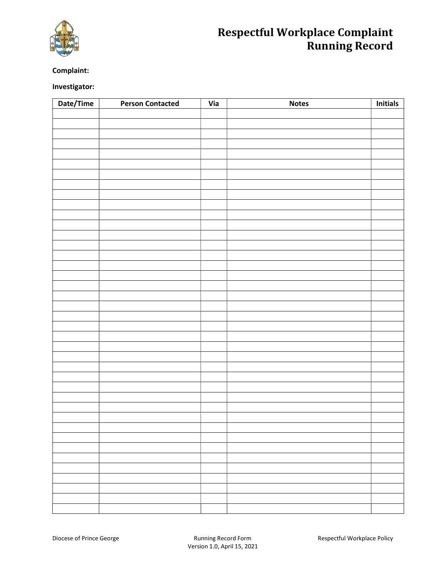

# Respectful Workplace Complaint Running Record

## Complaint:

## Investigator:

| Date/Time | <b>Person Contacted</b> | Via | <b>Notes</b> | <b>Initials</b> |
|-----------|-------------------------|-----|--------------|-----------------|
|           |                         |     |              |                 |
|           |                         |     |              |                 |
|           |                         |     |              |                 |
|           |                         |     |              |                 |
|           |                         |     |              |                 |
|           |                         |     |              |                 |
|           |                         |     |              |                 |
|           |                         |     |              |                 |
|           |                         |     |              |                 |
|           |                         |     |              |                 |
|           |                         |     |              |                 |
|           |                         |     |              |                 |
|           |                         |     |              |                 |
|           |                         |     |              |                 |
|           |                         |     |              |                 |
|           |                         |     |              |                 |
|           |                         |     |              |                 |
|           |                         |     |              |                 |
|           |                         |     |              |                 |
|           |                         |     |              |                 |
|           |                         |     |              |                 |
|           |                         |     |              |                 |
|           |                         |     |              |                 |
|           |                         |     |              |                 |
|           |                         |     |              |                 |
|           |                         |     |              |                 |
|           |                         |     |              |                 |
|           |                         |     |              |                 |
|           |                         |     |              |                 |
|           |                         |     |              |                 |
|           |                         |     |              |                 |
|           |                         |     |              |                 |
|           |                         |     |              |                 |
|           |                         |     |              |                 |
|           |                         |     |              |                 |
|           |                         |     |              |                 |
|           |                         |     |              |                 |
|           |                         |     |              |                 |
|           |                         |     |              |                 |
|           |                         |     |              |                 |